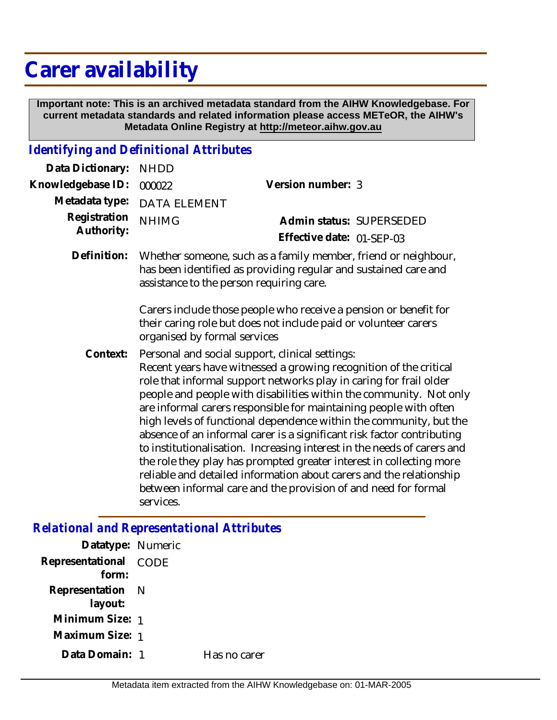# **Carer availability**

 **Important note: This is an archived metadata standard from the AIHW Knowledgebase. For current metadata standards and related information please access METeOR, the AIHW's Metadata Online Registry at http://meteor.aihw.gov.au**

### *Identifying and Definitional Attributes*

| Data Dictionary:           | <b>NHDD</b>                                                                                                                                                                                                                                                                                                                                                                                                                                                                                                                                                                                                                                                                                                                                                                                   |                                                                                                                                     |  |
|----------------------------|-----------------------------------------------------------------------------------------------------------------------------------------------------------------------------------------------------------------------------------------------------------------------------------------------------------------------------------------------------------------------------------------------------------------------------------------------------------------------------------------------------------------------------------------------------------------------------------------------------------------------------------------------------------------------------------------------------------------------------------------------------------------------------------------------|-------------------------------------------------------------------------------------------------------------------------------------|--|
| Knowledgebase ID:          | 000022                                                                                                                                                                                                                                                                                                                                                                                                                                                                                                                                                                                                                                                                                                                                                                                        | Version number: 3                                                                                                                   |  |
| Metadata type:             | <b>DATA ELEMENT</b>                                                                                                                                                                                                                                                                                                                                                                                                                                                                                                                                                                                                                                                                                                                                                                           |                                                                                                                                     |  |
| Registration<br>Authority: | <b>NHIMG</b>                                                                                                                                                                                                                                                                                                                                                                                                                                                                                                                                                                                                                                                                                                                                                                                  | Admin status: SUPERSEDED<br>Effective date: 01-SEP-03                                                                               |  |
| Definition:                | Whether someone, such as a family member, friend or neighbour,<br>has been identified as providing regular and sustained care and<br>assistance to the person requiring care.                                                                                                                                                                                                                                                                                                                                                                                                                                                                                                                                                                                                                 |                                                                                                                                     |  |
|                            | organised by formal services                                                                                                                                                                                                                                                                                                                                                                                                                                                                                                                                                                                                                                                                                                                                                                  | Carers include those people who receive a pension or benefit for<br>their caring role but does not include paid or volunteer carers |  |
| Context:                   | Personal and social support, clinical settings:<br>Recent years have witnessed a growing recognition of the critical<br>role that informal support networks play in caring for frail older<br>people and people with disabilities within the community. Not only<br>are informal carers responsible for maintaining people with often<br>high levels of functional dependence within the community, but the<br>absence of an informal carer is a significant risk factor contributing<br>to institutionalisation. Increasing interest in the needs of carers and<br>the role they play has prompted greater interest in collecting more<br>reliable and detailed information about carers and the relationship<br>between informal care and the provision of and need for formal<br>services. |                                                                                                                                     |  |
|                            |                                                                                                                                                                                                                                                                                                                                                                                                                                                                                                                                                                                                                                                                                                                                                                                               |                                                                                                                                     |  |

#### *Relational and Representational Attributes*

| Datatype: Numeric              |              |
|--------------------------------|--------------|
| Representational CODE<br>form: |              |
| Representation N<br>layout:    |              |
| Minimum Size: 1                |              |
| Maximum Size: 1                |              |
| Data Domain: 1                 | Has no carer |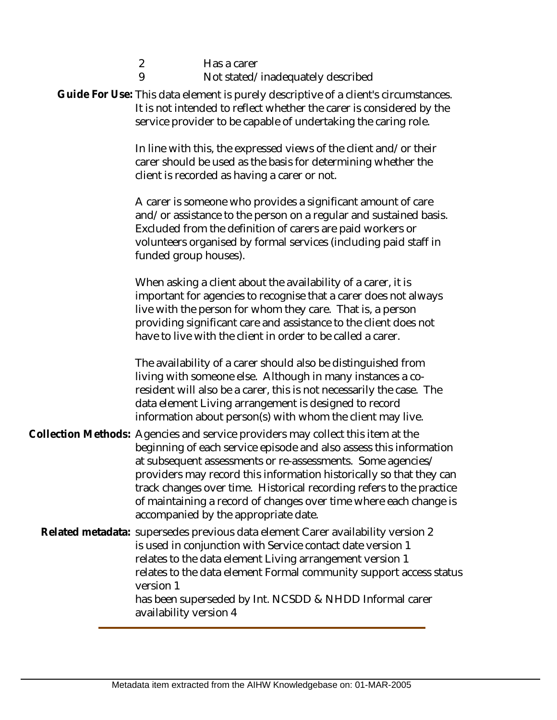| $\overline{2}$<br>Has a carer<br>9<br>Not stated/inadequately described<br>Guide For Use: This data element is purely descriptive of a client's circumstances.<br>It is not intended to reflect whether the carer is considered by the<br>service provider to be capable of undertaking the caring role.                                                                                                                                                                         |
|----------------------------------------------------------------------------------------------------------------------------------------------------------------------------------------------------------------------------------------------------------------------------------------------------------------------------------------------------------------------------------------------------------------------------------------------------------------------------------|
| In line with this, the expressed views of the client and/or their<br>carer should be used as the basis for determining whether the<br>client is recorded as having a carer or not.                                                                                                                                                                                                                                                                                               |
| A carer is someone who provides a significant amount of care<br>and/or assistance to the person on a regular and sustained basis.<br>Excluded from the definition of carers are paid workers or<br>volunteers organised by formal services (including paid staff in<br>funded group houses).                                                                                                                                                                                     |
| When asking a client about the availability of a carer, it is<br>important for agencies to recognise that a carer does not always<br>live with the person for whom they care. That is, a person<br>providing significant care and assistance to the client does not<br>have to live with the client in order to be called a carer.                                                                                                                                               |
| The availability of a carer should also be distinguished from<br>living with someone else. Although in many instances a co-<br>resident will also be a carer, this is not necessarily the case. The<br>data element Living arrangement is designed to record<br>information about person(s) with whom the client may live.                                                                                                                                                       |
| Collection Methods: Agencies and service providers may collect this item at the<br>beginning of each service episode and also assess this information<br>at subsequent assessments or re-assessments. Some agencies/<br>providers may record this information historically so that they can<br>track changes over time. Historical recording refers to the practice<br>of maintaining a record of changes over time where each change is<br>accompanied by the appropriate date. |
| Related metadata: supersedes previous data element Carer availability version 2<br>is used in conjunction with Service contact date version 1<br>relates to the data element Living arrangement version 1<br>relates to the data element Formal community support access status<br>version 1<br>has been superseded by Int. NCSDD & NHDD Informal carer<br>availability version 4                                                                                                |